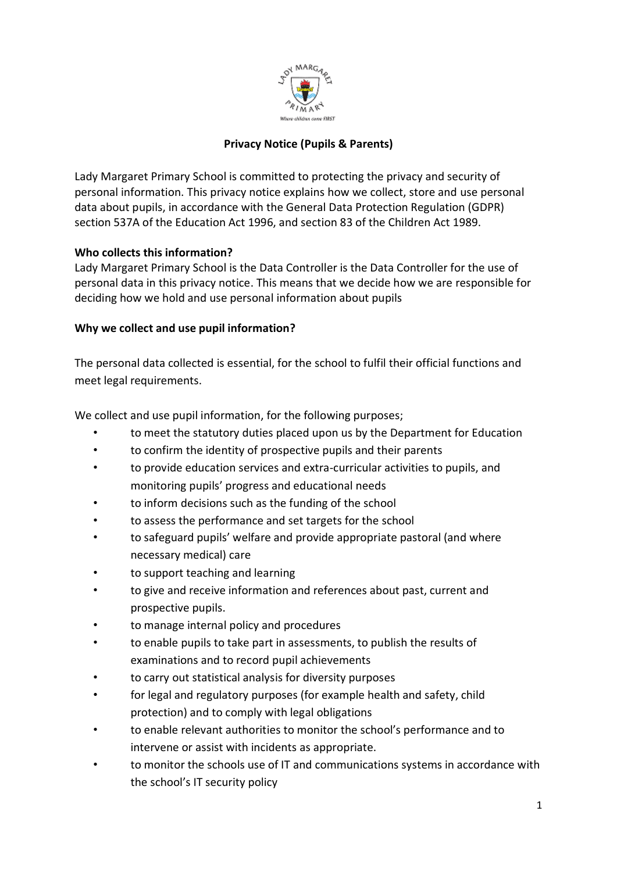

# **Privacy Notice (Pupils & Parents)**

Lady Margaret Primary School is committed to protecting the privacy and security of personal information. This privacy notice explains how we collect, store and use personal data about pupils, in accordance with the General Data Protection Regulation (GDPR) section 537A of the Education Act 1996, and section 83 of the Children Act 1989.

## **Who collects this information?**

Lady Margaret Primary School is the Data Controller is the Data Controller for the use of personal data in this privacy notice. This means that we decide how we are responsible for deciding how we hold and use personal information about pupils

## **Why we collect and use pupil information?**

The personal data collected is essential, for the school to fulfil their official functions and meet legal requirements.

We collect and use pupil information, for the following purposes;

- to meet the statutory duties placed upon us by the Department for Education
- to confirm the identity of prospective pupils and their parents
- to provide education services and extra-curricular activities to pupils, and monitoring pupils' progress and educational needs
- to inform decisions such as the funding of the school
- to assess the performance and set targets for the school
- to safeguard pupils' welfare and provide appropriate pastoral (and where necessary medical) care
- to support teaching and learning
- to give and receive information and references about past, current and prospective pupils.
- to manage internal policy and procedures
- to enable pupils to take part in assessments, to publish the results of examinations and to record pupil achievements
- to carry out statistical analysis for diversity purposes
- for legal and regulatory purposes (for example health and safety, child protection) and to comply with legal obligations
- to enable relevant authorities to monitor the school's performance and to intervene or assist with incidents as appropriate.
- to monitor the schools use of IT and communications systems in accordance with the school's IT security policy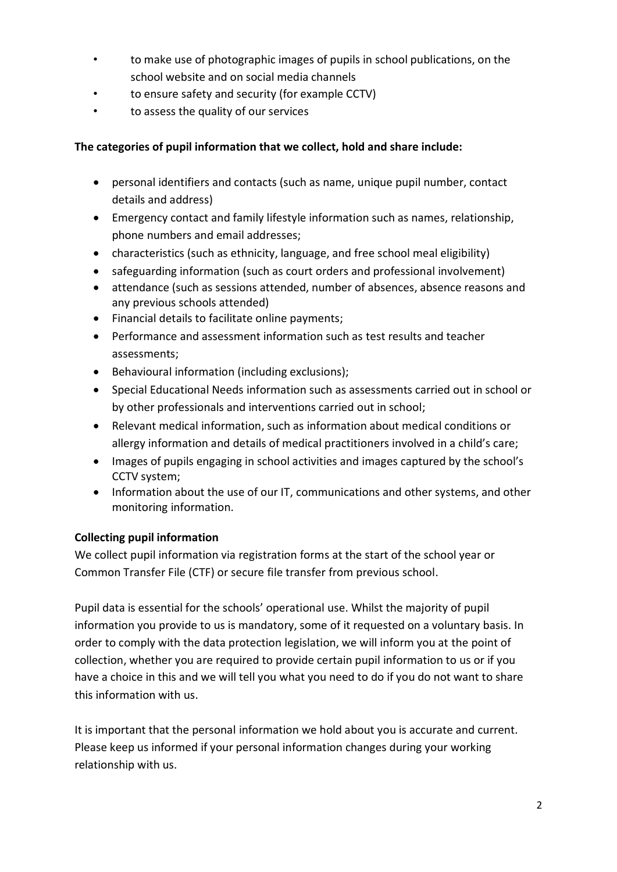- to make use of photographic images of pupils in school publications, on the school website and on social media channels
- to ensure safety and security (for example CCTV)
- to assess the quality of our services

## **The categories of pupil information that we collect, hold and share include:**

- personal identifiers and contacts (such as name, unique pupil number, contact details and address)
- Emergency contact and family lifestyle information such as names, relationship, phone numbers and email addresses;
- characteristics (such as ethnicity, language, and free school meal eligibility)
- safeguarding information (such as court orders and professional involvement)
- attendance (such as sessions attended, number of absences, absence reasons and any previous schools attended)
- Financial details to facilitate online payments;
- Performance and assessment information such as test results and teacher assessments;
- Behavioural information (including exclusions);
- Special Educational Needs information such as assessments carried out in school or by other professionals and interventions carried out in school;
- Relevant medical information, such as information about medical conditions or allergy information and details of medical practitioners involved in a child's care;
- Images of pupils engaging in school activities and images captured by the school's CCTV system;
- Information about the use of our IT, communications and other systems, and other monitoring information.

# **Collecting pupil information**

We collect pupil information via registration forms at the start of the school year or Common Transfer File (CTF) or secure file transfer from previous school.

Pupil data is essential for the schools' operational use. Whilst the majority of pupil information you provide to us is mandatory, some of it requested on a voluntary basis. In order to comply with the data protection legislation, we will inform you at the point of collection, whether you are required to provide certain pupil information to us or if you have a choice in this and we will tell you what you need to do if you do not want to share this information with us.

It is important that the personal information we hold about you is accurate and current. Please keep us informed if your personal information changes during your working relationship with us.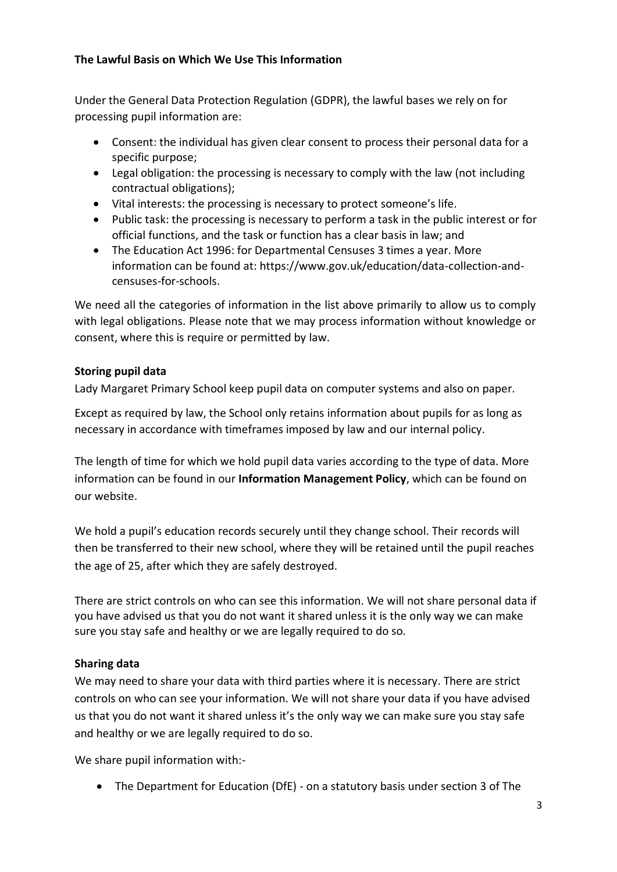### **The Lawful Basis on Which We Use This Information**

Under the General Data Protection Regulation (GDPR), the lawful bases we rely on for processing pupil information are:

- Consent: the individual has given clear consent to process their personal data for a specific purpose;
- Legal obligation: the processing is necessary to comply with the law (not including contractual obligations);
- Vital interests: the processing is necessary to protect someone's life.
- Public task: the processing is necessary to perform a task in the public interest or for official functions, and the task or function has a clear basis in law; and
- The Education Act 1996: for Departmental Censuses 3 times a year. More information can be found at: [https://www.gov.uk/education/data-collection-and](https://www.gov.uk/education/data-collection-and-censuses-for-schools)[censuses-for-schools.](https://www.gov.uk/education/data-collection-and-censuses-for-schools)

We need all the categories of information in the list above primarily to allow us to comply with legal obligations. Please note that we may process information without knowledge or consent, where this is require or permitted by law.

# **Storing pupil data**

Lady Margaret Primary School keep pupil data on computer systems and also on paper.

Except as required by law, the School only retains information about pupils for as long as necessary in accordance with timeframes imposed by law and our internal policy.

The length of time for which we hold pupil data varies according to the type of data. More information can be found in our **Information Management Policy**, which can be found on our website.

We hold a pupil's education records securely until they change school. Their records will then be transferred to their new school, where they will be retained until the pupil reaches the age of 25, after which they are safely destroyed.

There are strict controls on who can see this information. We will not share personal data if you have advised us that you do not want it shared unless it is the only way we can make sure you stay safe and healthy or we are legally required to do so.

# **Sharing data**

We may need to share your data with third parties where it is necessary. There are strict controls on who can see your information. We will not share your data if you have advised us that you do not want it shared unless it's the only way we can make sure you stay safe and healthy or we are legally required to do so.

We share pupil information with:-

The Department for Education (DfE) - on a statutory basis under section 3 of The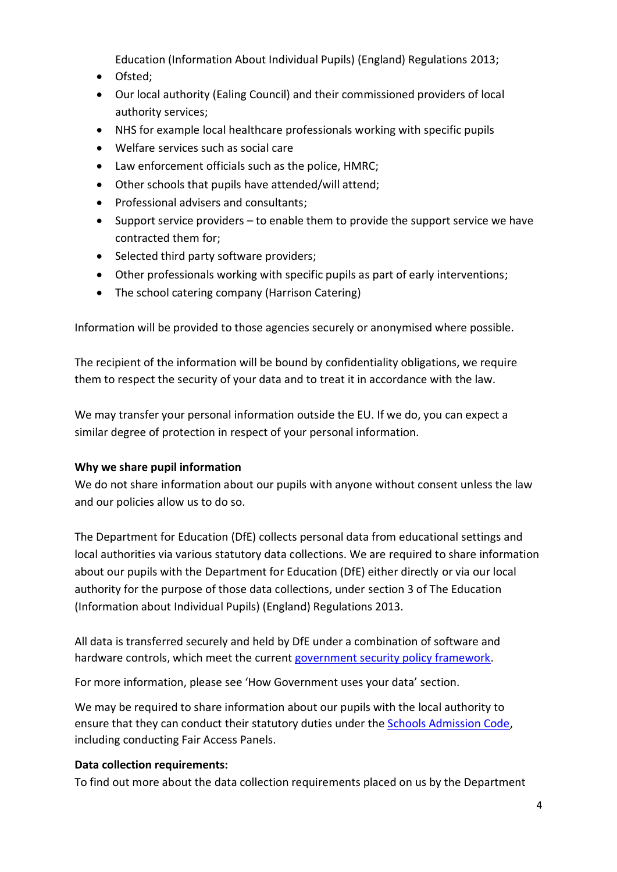Education (Information About Individual Pupils) (England) Regulations 2013;

- Ofsted;
- Our local authority (Ealing Council) and their commissioned providers of local authority services;
- NHS for example local healthcare professionals working with specific pupils
- Welfare services such as social care
- Law enforcement officials such as the police, HMRC;
- Other schools that pupils have attended/will attend;
- Professional advisers and consultants;
- $\bullet$  Support service providers to enable them to provide the support service we have contracted them for;
- Selected third party software providers;
- Other professionals working with specific pupils as part of early interventions;
- The school catering company (Harrison Catering)

Information will be provided to those agencies securely or anonymised where possible.

The recipient of the information will be bound by confidentiality obligations, we require them to respect the security of your data and to treat it in accordance with the law.

We may transfer your personal information outside the EU. If we do, you can expect a similar degree of protection in respect of your personal information.

### **Why we share pupil information**

We do not share information about our pupils with anyone without consent unless the law and our policies allow us to do so.

The Department for Education (DfE) collects personal data from educational settings and local authorities via various statutory data collections. We are required to share information about our pupils with the Department for Education (DfE) either directly or via our local authority for the purpose of those data collections, under section 3 of The Education (Information about Individual Pupils) (England) Regulations 2013.

All data is transferred securely and held by DfE under a combination of software and hardware controls, which meet the current [government security policy framework.](https://www.gov.uk/government/publications/security-policy-framework)

For more information, please see 'How Government uses your data' section.

We may be required to share information about our pupils with the local authority to ensure that they can conduct their statutory duties under the [Schools Admission Code,](https://www.gov.uk/government/publications/school-admissions-code--2) including conducting Fair Access Panels.

### **Data collection requirements:**

To find out more about the data collection requirements placed on us by the Department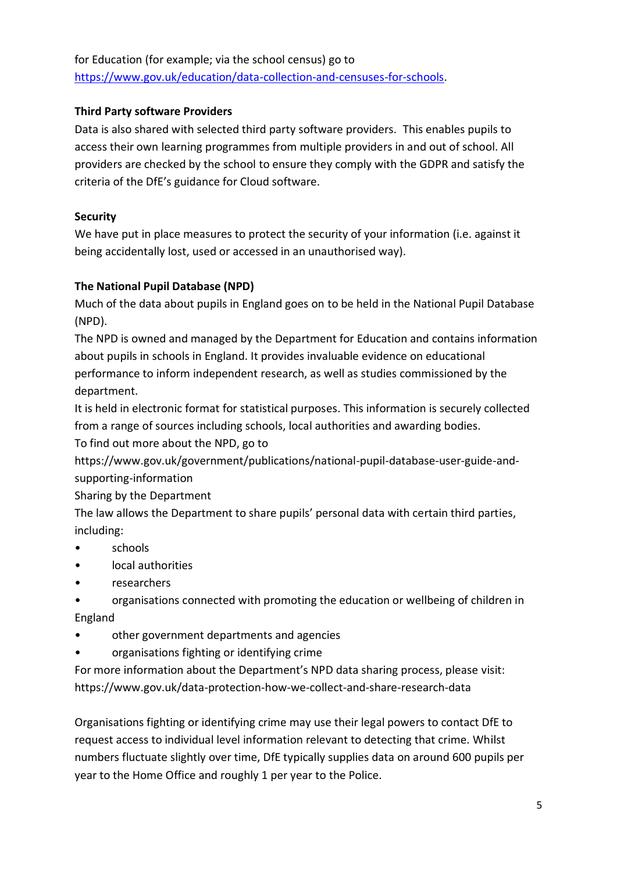for Education (for example; via the school census) go to [https://www.gov.uk/education/data-collection-and-censuses-for-schools.](https://www.gov.uk/education/data-collection-and-censuses-for-schools)

## **Third Party software Providers**

Data is also shared with selected third party software providers. This enables pupils to access their own learning programmes from multiple providers in and out of school. All providers are checked by the school to ensure they comply with the GDPR and satisfy the criteria of the DfE's guidance for Cloud software.

## **Security**

We have put in place measures to protect the security of your information (i.e. against it being accidentally lost, used or accessed in an unauthorised way).

# **The National Pupil Database (NPD)**

Much of the data about pupils in England goes on to be held in the National Pupil Database (NPD).

The NPD is owned and managed by the Department for Education and contains information about pupils in schools in England. It provides invaluable evidence on educational performance to inform independent research, as well as studies commissioned by the department.

It is held in electronic format for statistical purposes. This information is securely collected from a range of sources including schools, local authorities and awarding bodies. To find out more about the NPD, go to

https://www.gov.uk/government/publications/national-pupil-database-user-guide-andsupporting-information

Sharing by the Department

The law allows the Department to share pupils' personal data with certain third parties, including:

- schools
- local authorities
- researchers
- organisations connected with promoting the education or wellbeing of children in England
- other government departments and agencies
- organisations fighting or identifying crime

For more information about the Department's NPD data sharing process, please visit: https://www.gov.uk/data-protection-how-we-collect-and-share-research-data

Organisations fighting or identifying crime may use their legal powers to contact DfE to request access to individual level information relevant to detecting that crime. Whilst numbers fluctuate slightly over time, DfE typically supplies data on around 600 pupils per year to the Home Office and roughly 1 per year to the Police.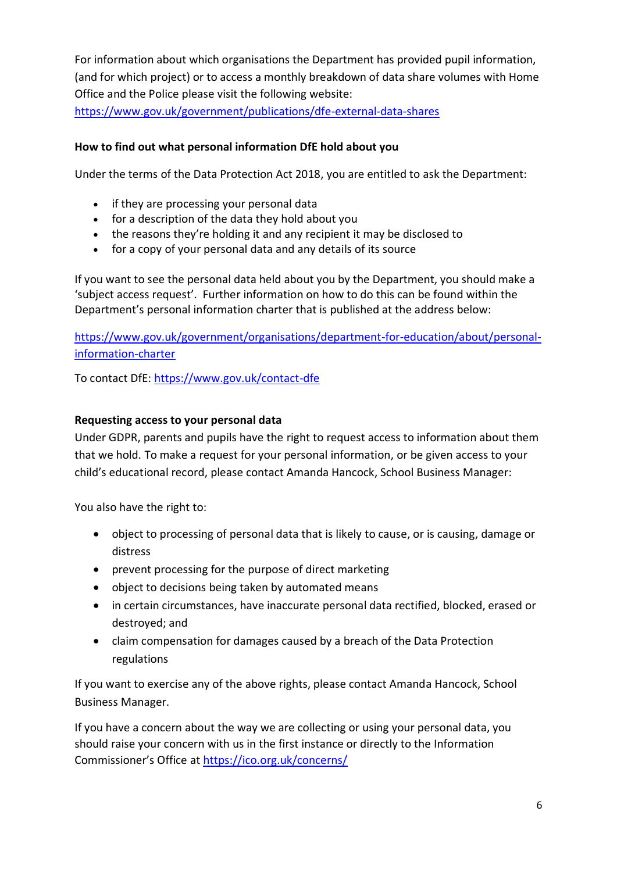For information about which organisations the Department has provided pupil information, (and for which project) or to access a monthly breakdown of data share volumes with Home Office and the Police please visit the following website:

<https://www.gov.uk/government/publications/dfe-external-data-shares>

#### **How to find out what personal information DfE hold about you**

Under the terms of the Data Protection Act 2018, you are entitled to ask the Department:

- if they are processing your personal data
- for a description of the data they hold about you
- the reasons they're holding it and any recipient it may be disclosed to
- for a copy of your personal data and any details of its source

If you want to see the personal data held about you by the Department, you should make a 'subject access request'. Further information on how to do this can be found within the Department's personal information charter that is published at the address below:

[https://www.gov.uk/government/organisations/department-for-education/about/personal](https://www.gov.uk/government/organisations/department-for-education/about/personal-information-charter)[information-charter](https://www.gov.uk/government/organisations/department-for-education/about/personal-information-charter)

To contact DfE:<https://www.gov.uk/contact-dfe>

#### **Requesting access to your personal data**

Under GDPR, parents and pupils have the right to request access to information about them that we hold. To make a request for your personal information, or be given access to your child's educational record, please contact Amanda Hancock, School Business Manager:

You also have the right to:

- object to processing of personal data that is likely to cause, or is causing, damage or distress
- prevent processing for the purpose of direct marketing
- object to decisions being taken by automated means
- in certain circumstances, have inaccurate personal data rectified, blocked, erased or destroyed; and
- claim compensation for damages caused by a breach of the Data Protection regulations

If you want to exercise any of the above rights, please contact Amanda Hancock, School Business Manager.

If you have a concern about the way we are collecting or using your personal data, you should raise your concern with us in the first instance or directly to the Information Commissioner's Office at <https://ico.org.uk/concerns/>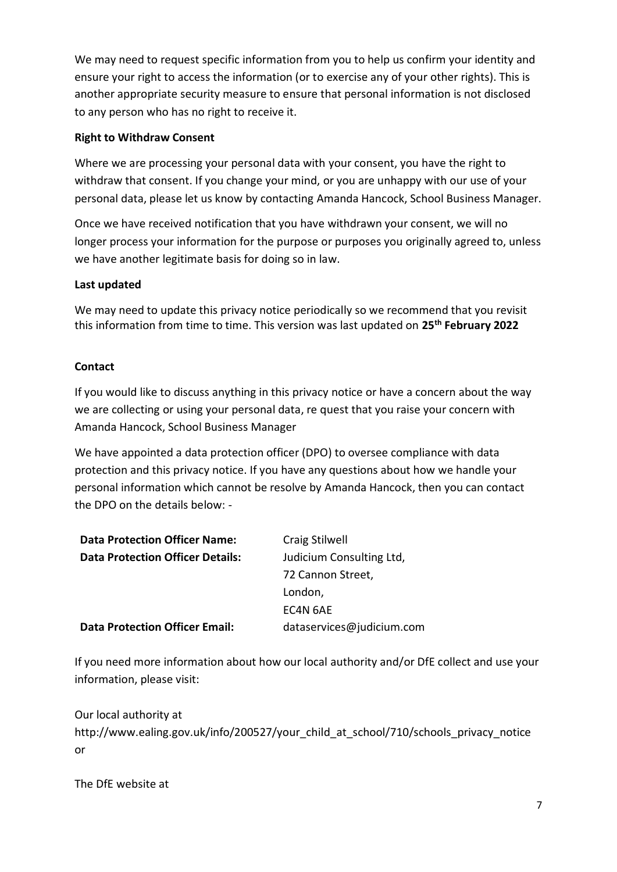We may need to request specific information from you to help us confirm your identity and ensure your right to access the information (or to exercise any of your other rights). This is another appropriate security measure to ensure that personal information is not disclosed to any person who has no right to receive it.

### **Right to Withdraw Consent**

Where we are processing your personal data with your consent, you have the right to withdraw that consent. If you change your mind, or you are unhappy with our use of your personal data, please let us know by contacting Amanda Hancock, School Business Manager.

Once we have received notification that you have withdrawn your consent, we will no longer process your information for the purpose or purposes you originally agreed to, unless we have another legitimate basis for doing so in law.

#### **Last updated**

We may need to update this privacy notice periodically so we recommend that you revisit this information from time to time. This version was last updated on **25th February 2022**

#### **Contact**

If you would like to discuss anything in this privacy notice or have a concern about the way we are collecting or using your personal data, re quest that you raise your concern with Amanda Hancock, School Business Manager

We have appointed a data protection officer (DPO) to oversee compliance with data protection and this privacy notice. If you have any questions about how we handle your personal information which cannot be resolve by Amanda Hancock, then you can contact the DPO on the details below: -

| <b>Data Protection Officer Name:</b>    | Craig Stilwell            |
|-----------------------------------------|---------------------------|
| <b>Data Protection Officer Details:</b> | Judicium Consulting Ltd,  |
|                                         | 72 Cannon Street,         |
|                                         | London,                   |
|                                         | EC4N 6AE                  |
| <b>Data Protection Officer Email:</b>   | dataservices@judicium.com |

If you need more information about how our local authority and/or DfE collect and use your information, please visit:

Our local authority at http://www.ealing.gov.uk/info/200527/your\_child\_at\_school/710/schools\_privacy\_notice or

The DfE website at